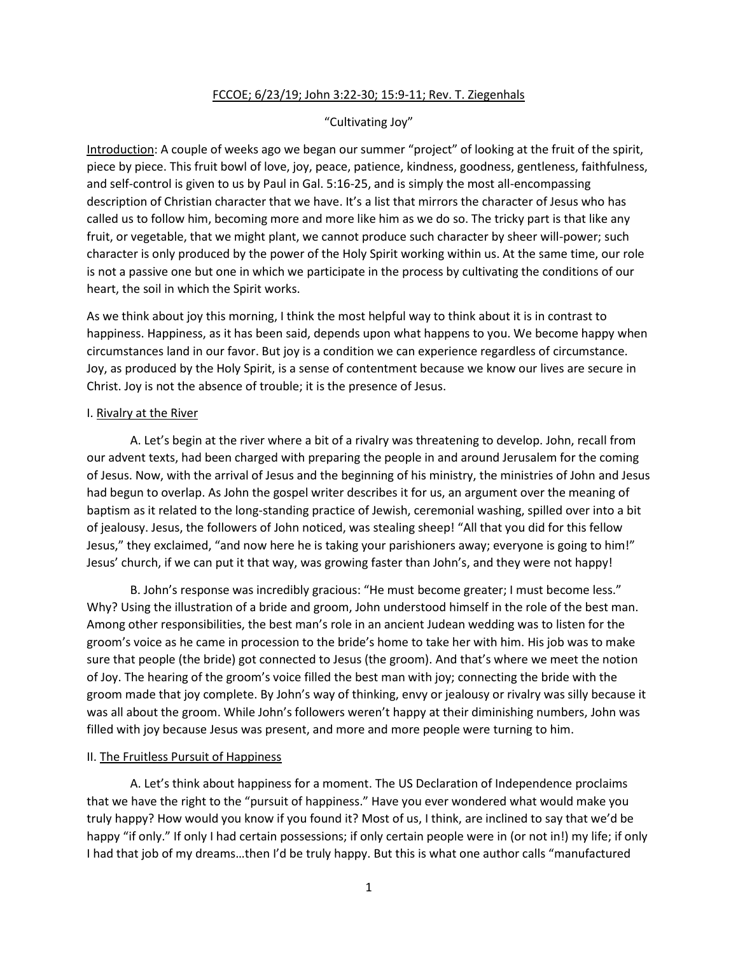### FCCOE; 6/23/19; John 3:22-30; 15:9-11; Rev. T. Ziegenhals

## "Cultivating Joy"

Introduction: A couple of weeks ago we began our summer "project" of looking at the fruit of the spirit, piece by piece. This fruit bowl of love, joy, peace, patience, kindness, goodness, gentleness, faithfulness, and self-control is given to us by Paul in Gal. 5:16-25, and is simply the most all-encompassing description of Christian character that we have. It's a list that mirrors the character of Jesus who has called us to follow him, becoming more and more like him as we do so. The tricky part is that like any fruit, or vegetable, that we might plant, we cannot produce such character by sheer will-power; such character is only produced by the power of the Holy Spirit working within us. At the same time, our role is not a passive one but one in which we participate in the process by cultivating the conditions of our heart, the soil in which the Spirit works.

As we think about joy this morning, I think the most helpful way to think about it is in contrast to happiness. Happiness, as it has been said, depends upon what happens to you. We become happy when circumstances land in our favor. But joy is a condition we can experience regardless of circumstance. Joy, as produced by the Holy Spirit, is a sense of contentment because we know our lives are secure in Christ. Joy is not the absence of trouble; it is the presence of Jesus.

#### I. Rivalry at the River

A. Let's begin at the river where a bit of a rivalry was threatening to develop. John, recall from our advent texts, had been charged with preparing the people in and around Jerusalem for the coming of Jesus. Now, with the arrival of Jesus and the beginning of his ministry, the ministries of John and Jesus had begun to overlap. As John the gospel writer describes it for us, an argument over the meaning of baptism as it related to the long-standing practice of Jewish, ceremonial washing, spilled over into a bit of jealousy. Jesus, the followers of John noticed, was stealing sheep! "All that you did for this fellow Jesus," they exclaimed, "and now here he is taking your parishioners away; everyone is going to him!" Jesus' church, if we can put it that way, was growing faster than John's, and they were not happy!

B. John's response was incredibly gracious: "He must become greater; I must become less." Why? Using the illustration of a bride and groom, John understood himself in the role of the best man. Among other responsibilities, the best man's role in an ancient Judean wedding was to listen for the groom's voice as he came in procession to the bride's home to take her with him. His job was to make sure that people (the bride) got connected to Jesus (the groom). And that's where we meet the notion of Joy. The hearing of the groom's voice filled the best man with joy; connecting the bride with the groom made that joy complete. By John's way of thinking, envy or jealousy or rivalry was silly because it was all about the groom. While John's followers weren't happy at their diminishing numbers, John was filled with joy because Jesus was present, and more and more people were turning to him.

#### II. The Fruitless Pursuit of Happiness

A. Let's think about happiness for a moment. The US Declaration of Independence proclaims that we have the right to the "pursuit of happiness." Have you ever wondered what would make you truly happy? How would you know if you found it? Most of us, I think, are inclined to say that we'd be happy "if only." If only I had certain possessions; if only certain people were in (or not in!) my life; if only I had that job of my dreams…then I'd be truly happy. But this is what one author calls "manufactured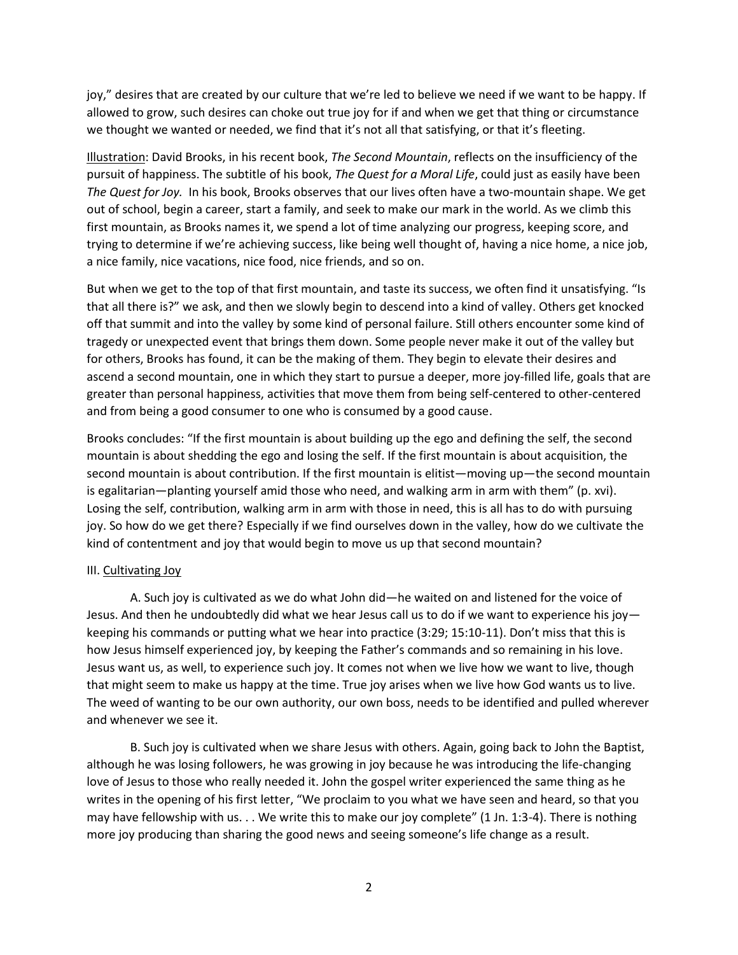joy," desires that are created by our culture that we're led to believe we need if we want to be happy. If allowed to grow, such desires can choke out true joy for if and when we get that thing or circumstance we thought we wanted or needed, we find that it's not all that satisfying, or that it's fleeting.

Illustration: David Brooks, in his recent book, *The Second Mountain*, reflects on the insufficiency of the pursuit of happiness. The subtitle of his book, *The Quest for a Moral Life*, could just as easily have been *The Quest for Joy.* In his book, Brooks observes that our lives often have a two-mountain shape. We get out of school, begin a career, start a family, and seek to make our mark in the world. As we climb this first mountain, as Brooks names it, we spend a lot of time analyzing our progress, keeping score, and trying to determine if we're achieving success, like being well thought of, having a nice home, a nice job, a nice family, nice vacations, nice food, nice friends, and so on.

But when we get to the top of that first mountain, and taste its success, we often find it unsatisfying. "Is that all there is?" we ask, and then we slowly begin to descend into a kind of valley. Others get knocked off that summit and into the valley by some kind of personal failure. Still others encounter some kind of tragedy or unexpected event that brings them down. Some people never make it out of the valley but for others, Brooks has found, it can be the making of them. They begin to elevate their desires and ascend a second mountain, one in which they start to pursue a deeper, more joy-filled life, goals that are greater than personal happiness, activities that move them from being self-centered to other-centered and from being a good consumer to one who is consumed by a good cause.

Brooks concludes: "If the first mountain is about building up the ego and defining the self, the second mountain is about shedding the ego and losing the self. If the first mountain is about acquisition, the second mountain is about contribution. If the first mountain is elitist—moving up—the second mountain is egalitarian—planting yourself amid those who need, and walking arm in arm with them" (p. xvi). Losing the self, contribution, walking arm in arm with those in need, this is all has to do with pursuing joy. So how do we get there? Especially if we find ourselves down in the valley, how do we cultivate the kind of contentment and joy that would begin to move us up that second mountain?

# III. Cultivating Joy

A. Such joy is cultivated as we do what John did—he waited on and listened for the voice of Jesus. And then he undoubtedly did what we hear Jesus call us to do if we want to experience his joy keeping his commands or putting what we hear into practice (3:29; 15:10-11). Don't miss that this is how Jesus himself experienced joy, by keeping the Father's commands and so remaining in his love. Jesus want us, as well, to experience such joy. It comes not when we live how we want to live, though that might seem to make us happy at the time. True joy arises when we live how God wants us to live. The weed of wanting to be our own authority, our own boss, needs to be identified and pulled wherever and whenever we see it.

B. Such joy is cultivated when we share Jesus with others. Again, going back to John the Baptist, although he was losing followers, he was growing in joy because he was introducing the life-changing love of Jesus to those who really needed it. John the gospel writer experienced the same thing as he writes in the opening of his first letter, "We proclaim to you what we have seen and heard, so that you may have fellowship with us. . . We write this to make our joy complete" (1 Jn. 1:3-4). There is nothing more joy producing than sharing the good news and seeing someone's life change as a result.